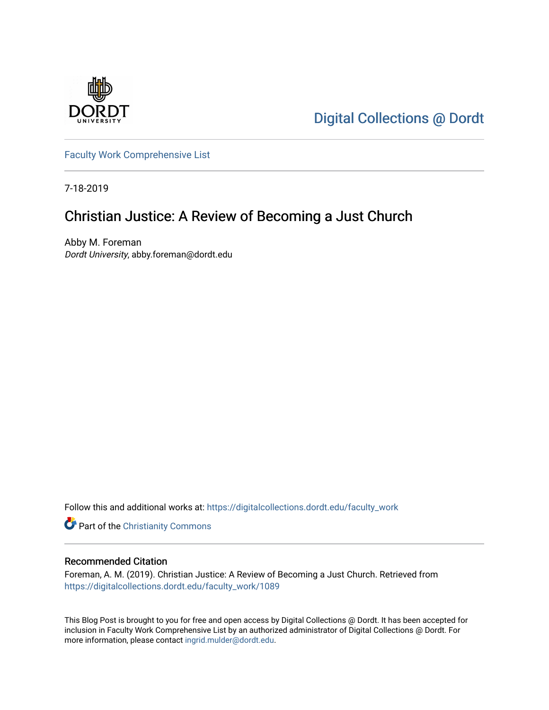

[Digital Collections @ Dordt](https://digitalcollections.dordt.edu/) 

[Faculty Work Comprehensive List](https://digitalcollections.dordt.edu/faculty_work)

7-18-2019

## Christian Justice: A Review of Becoming a Just Church

Abby M. Foreman Dordt University, abby.foreman@dordt.edu

Follow this and additional works at: [https://digitalcollections.dordt.edu/faculty\\_work](https://digitalcollections.dordt.edu/faculty_work?utm_source=digitalcollections.dordt.edu%2Ffaculty_work%2F1089&utm_medium=PDF&utm_campaign=PDFCoverPages) 

Part of the [Christianity Commons](http://network.bepress.com/hgg/discipline/1181?utm_source=digitalcollections.dordt.edu%2Ffaculty_work%2F1089&utm_medium=PDF&utm_campaign=PDFCoverPages) 

#### Recommended Citation

Foreman, A. M. (2019). Christian Justice: A Review of Becoming a Just Church. Retrieved from [https://digitalcollections.dordt.edu/faculty\\_work/1089](https://digitalcollections.dordt.edu/faculty_work/1089?utm_source=digitalcollections.dordt.edu%2Ffaculty_work%2F1089&utm_medium=PDF&utm_campaign=PDFCoverPages)

This Blog Post is brought to you for free and open access by Digital Collections @ Dordt. It has been accepted for inclusion in Faculty Work Comprehensive List by an authorized administrator of Digital Collections @ Dordt. For more information, please contact [ingrid.mulder@dordt.edu.](mailto:ingrid.mulder@dordt.edu)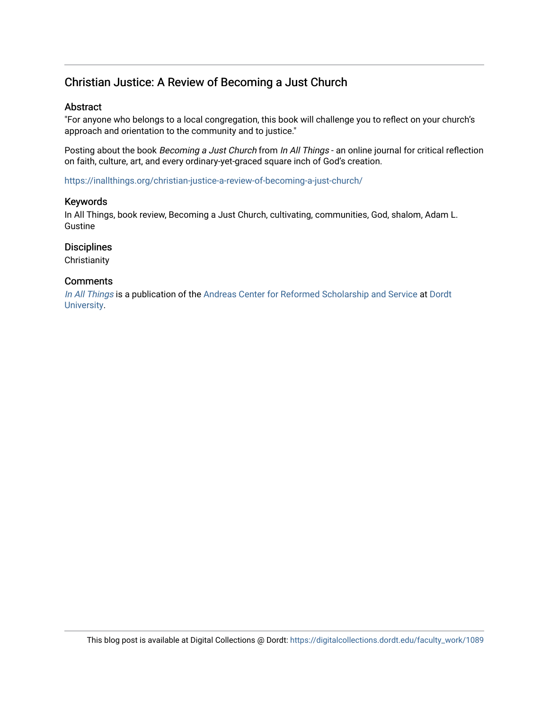### Christian Justice: A Review of Becoming a Just Church

#### Abstract

"For anyone who belongs to a local congregation, this book will challenge you to reflect on your church's approach and orientation to the community and to justice."

Posting about the book Becoming a Just Church from In All Things - an online journal for critical reflection on faith, culture, art, and every ordinary-yet-graced square inch of God's creation.

<https://inallthings.org/christian-justice-a-review-of-becoming-a-just-church/>

#### Keywords

In All Things, book review, Becoming a Just Church, cultivating, communities, God, shalom, Adam L. Gustine

#### **Disciplines**

**Christianity** 

#### **Comments**

[In All Things](http://inallthings.org/) is a publication of the [Andreas Center for Reformed Scholarship and Service](http://www.dordt.edu/services_support/andreas_center/) at Dordt [University](http://www.dordt.edu/).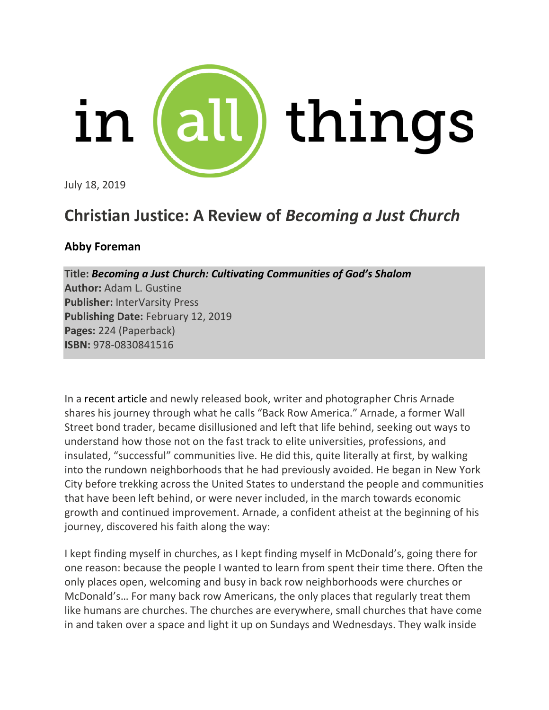

July 18, 2019

# **Christian Justice: A Review of** *Becoming a Just Church*

## **Abby Foreman**

**Title:** *Becoming a Just Church: Cultivating Communities of God's Shalom* **Author:** Adam L. Gustine **Publisher:** InterVarsity Press **Publishing Date:** February 12, 2019 **Pages:** 224 (Paperback) **ISBN:** 978-0830841516

In a recent article and newly released book, writer and photographer Chris Arnade shares his journey through what he calls "Back Row America." Arnade, a former Wall Street bond trader, became disillusioned and left that life behind, seeking out ways to understand how those not on the fast track to elite universities, professions, and insulated, "successful" communities live. He did this, quite literally at first, by walking into the rundown neighborhoods that he had previously avoided. He began in New York City before trekking across the United States to understand the people and communities that have been left behind, or were never included, in the march towards economic growth and continued improvement. Arnade, a confident atheist at the beginning of his journey, discovered his faith along the way:

I kept finding myself in churches, as I kept finding myself in McDonald's, going there for one reason: because the people I wanted to learn from spent their time there. Often the only places open, welcoming and busy in back row neighborhoods were churches or McDonald's… For many back row Americans, the only places that regularly treat them like humans are churches. The churches are everywhere, small churches that have come in and taken over a space and light it up on Sundays and Wednesdays. They walk inside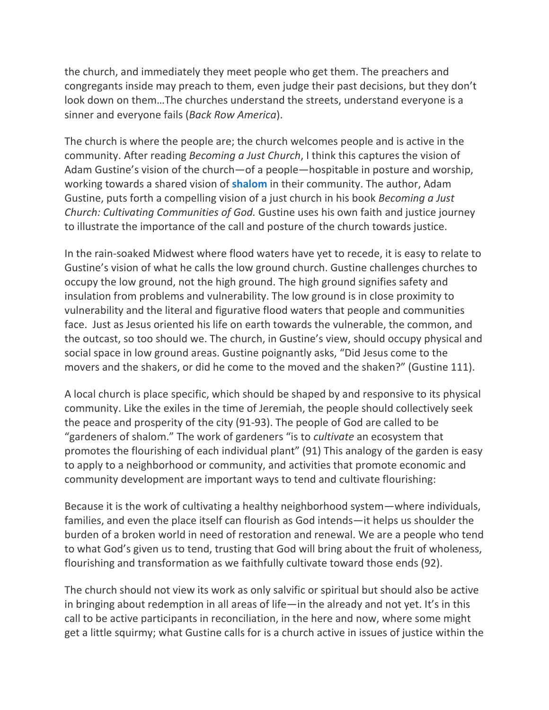the church, and immediately they meet people who get them. The preachers and congregants inside may preach to them, even judge their past decisions, but they don't look down on them…The churches understand the streets, understand everyone is a sinner and everyone fails (*Back Row America*).

The church is where the people are; the church welcomes people and is active in the community. After reading *Becoming a Just Church*, I think this captures the vision of Adam Gustine's vision of the church—of a people—hospitable in posture and worship, working towards a shared vision of **[shalom](https://inallthings.org/glossary/shalom/)** in their community. The author, Adam Gustine, puts forth a compelling vision of a just church in his book *Becoming a Just Church: Cultivating Communities of God.* Gustine uses his own faith and justice journey to illustrate the importance of the call and posture of the church towards justice.

In the rain-soaked Midwest where flood waters have yet to recede, it is easy to relate to Gustine's vision of what he calls the low ground church. Gustine challenges churches to occupy the low ground, not the high ground. The high ground signifies safety and insulation from problems and vulnerability. The low ground is in close proximity to vulnerability and the literal and figurative flood waters that people and communities face. Just as Jesus oriented his life on earth towards the vulnerable, the common, and the outcast, so too should we. The church, in Gustine's view, should occupy physical and social space in low ground areas. Gustine poignantly asks, "Did Jesus come to the movers and the shakers, or did he come to the moved and the shaken?" (Gustine 111).

A local church is place specific, which should be shaped by and responsive to its physical community. Like the exiles in the time of Jeremiah, the people should collectively seek the peace and prosperity of the city (91-93). The people of God are called to be "gardeners of shalom." The work of gardeners "is to *cultivate* an ecosystem that promotes the flourishing of each individual plant" (91) This analogy of the garden is easy to apply to a neighborhood or community, and activities that promote economic and community development are important ways to tend and cultivate flourishing:

Because it is the work of cultivating a healthy neighborhood system—where individuals, families, and even the place itself can flourish as God intends—it helps us shoulder the burden of a broken world in need of restoration and renewal. We are a people who tend to what God's given us to tend, trusting that God will bring about the fruit of wholeness, flourishing and transformation as we faithfully cultivate toward those ends (92).

The church should not view its work as only salvific or spiritual but should also be active in bringing about redemption in all areas of life—in the already and not yet. It's in this call to be active participants in reconciliation, in the here and now, where some might get a little squirmy; what Gustine calls for is a church active in issues of justice within the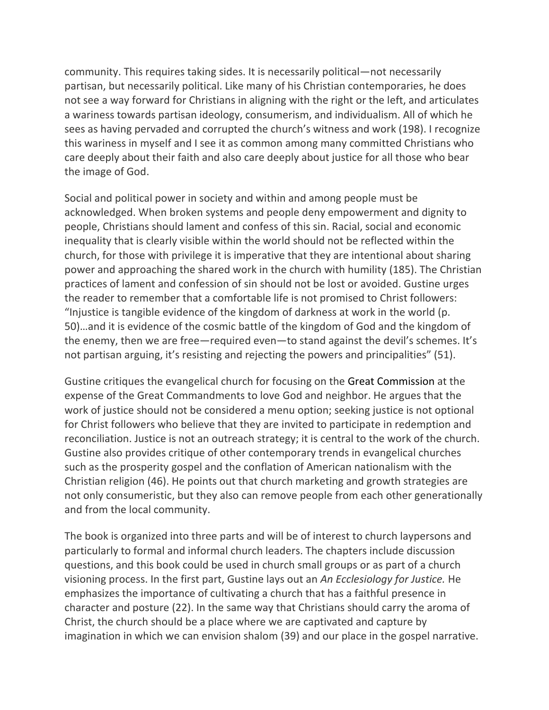community. This requires taking sides. It is necessarily political—not necessarily partisan, but necessarily political. Like many of his Christian contemporaries, he does not see a way forward for Christians in aligning with the right or the left, and articulates a wariness towards partisan ideology, consumerism, and individualism. All of which he sees as having pervaded and corrupted the church's witness and work (198). I recognize this wariness in myself and I see it as common among many committed Christians who care deeply about their faith and also care deeply about justice for all those who bear the image of God.

Social and political power in society and within and among people must be acknowledged. When broken systems and people deny empowerment and dignity to people, Christians should lament and confess of this sin. Racial, social and economic inequality that is clearly visible within the world should not be reflected within the church, for those with privilege it is imperative that they are intentional about sharing power and approaching the shared work in the church with humility (185). The Christian practices of lament and confession of sin should not be lost or avoided. Gustine urges the reader to remember that a comfortable life is not promised to Christ followers: "Injustice is tangible evidence of the kingdom of darkness at work in the world (p. 50)…and it is evidence of the cosmic battle of the kingdom of God and the kingdom of the enemy, then we are free—required even—to stand against the devil's schemes. It's not partisan arguing, it's resisting and rejecting the powers and principalities" (51).

Gustine critiques the evangelical church for focusing on the Great Commission at the expense of the Great Commandments to love God and neighbor. He argues that the work of justice should not be considered a menu option; seeking justice is not optional for Christ followers who believe that they are invited to participate in redemption and reconciliation. Justice is not an outreach strategy; it is central to the work of the church. Gustine also provides critique of other contemporary trends in evangelical churches such as the prosperity gospel and the conflation of American nationalism with the Christian religion (46). He points out that church marketing and growth strategies are not only consumeristic, but they also can remove people from each other generationally and from the local community.

The book is organized into three parts and will be of interest to church laypersons and particularly to formal and informal church leaders. The chapters include discussion questions, and this book could be used in church small groups or as part of a church visioning process. In the first part, Gustine lays out an *An Ecclesiology for Justice.* He emphasizes the importance of cultivating a church that has a faithful presence in character and posture (22). In the same way that Christians should carry the aroma of Christ, the church should be a place where we are captivated and capture by imagination in which we can envision shalom (39) and our place in the gospel narrative.